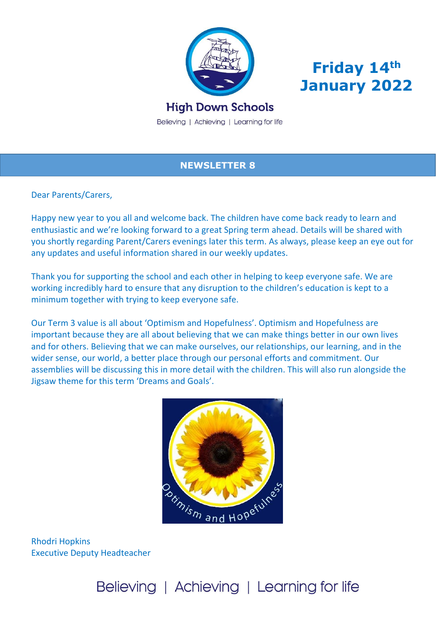



## **High Down Schools**

Believing | Achieving | Learning for life

### **NEWSLETTER 8**

Dear Parents/Carers,

Happy new year to you all and welcome back. The children have come back ready to learn and enthusiastic and we're looking forward to a great Spring term ahead. Details will be shared with you shortly regarding Parent/Carers evenings later this term. As always, please keep an eye out for any updates and useful information shared in our weekly updates.

Thank you for supporting the school and each other in helping to keep everyone safe. We are working incredibly hard to ensure that any disruption to the children's education is kept to a minimum together with trying to keep everyone safe.

Our Term 3 value is all about 'Optimism and Hopefulness'. Optimism and Hopefulness are important because they are all about believing that we can make things better in our own lives and for others. Believing that we can make ourselves, our relationships, our learning, and in the wider sense, our world, a better place through our personal efforts and commitment. Our assemblies will be discussing this in more detail with the children. This will also run alongside the Jigsaw theme for this term 'Dreams and Goals'.



Rhodri Hopkins Executive Deputy Headteacher

Believing | Achieving | Learning for life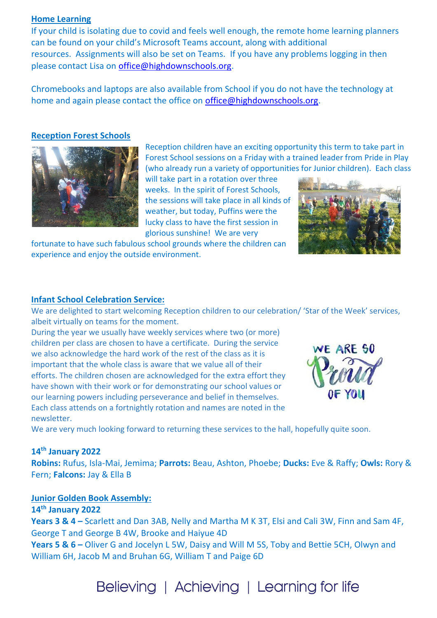#### **Home Learning**

If your child is isolating due to covid and feels well enough, the remote home learning planners can be found on your child's Microsoft Teams account, along with additional resources. Assignments will also be set on Teams. If you have any problems logging in then please contact Lisa on [office@highdownschools.org.](mailto:office@highdownschools.org)

Chromebooks and laptops are also available from School if you do not have the technology at home and again please contact the office on [office@highdownschools.org.](mailto:office@highdownschools.org)

#### **Reception Forest Schools**



Reception children have an exciting opportunity this term to take part in Forest School sessions on a Friday with a trained leader from Pride in Play (who already run a variety of opportunities for Junior children). Each class

will take part in a rotation over three weeks. In the spirit of Forest Schools, the sessions will take place in all kinds of weather, but today, Puffins were the lucky class to have the first session in glorious sunshine! We are very



fortunate to have such fabulous school grounds where the children can experience and enjoy the outside environment.

#### **Infant School Celebration Service:**

We are delighted to start welcoming Reception children to our celebration/ 'Star of the Week' services, albeit virtually on teams for the moment.

During the year we usually have weekly services where two (or more) children per class are chosen to have a certificate. During the service we also acknowledge the hard work of the rest of the class as it is important that the whole class is aware that we value all of their efforts. The children chosen are acknowledged for the extra effort they have shown with their work or for demonstrating our school values or our learning powers including perseverance and belief in themselves. Each class attends on a fortnightly rotation and names are noted in the newsletter.



We are very much looking forward to returning these services to the hall, hopefully quite soon.

#### **14th January 2022**

**Robins:** Rufus, Isla-Mai, Jemima; **Parrots:** Beau, Ashton, Phoebe; **Ducks:** Eve & Raffy; **Owls:** Rory & Fern; **Falcons:** Jay & Ella B

#### **Junior Golden Book Assembly:**

#### **14th January 2022**

**Years 3 & 4 –** Scarlett and Dan 3AB, Nelly and Martha M K 3T, Elsi and Cali 3W, Finn and Sam 4F, George T and George B 4W, Brooke and Haiyue 4D **Years 5 & 6 –** Oliver G and Jocelyn L 5W, Daisy and Will M 5S, Toby and Bettie 5CH, Olwyn and

William 6H, Jacob M and Bruhan 6G, William T and Paige 6D

# Believing | Achieving | Learning for life